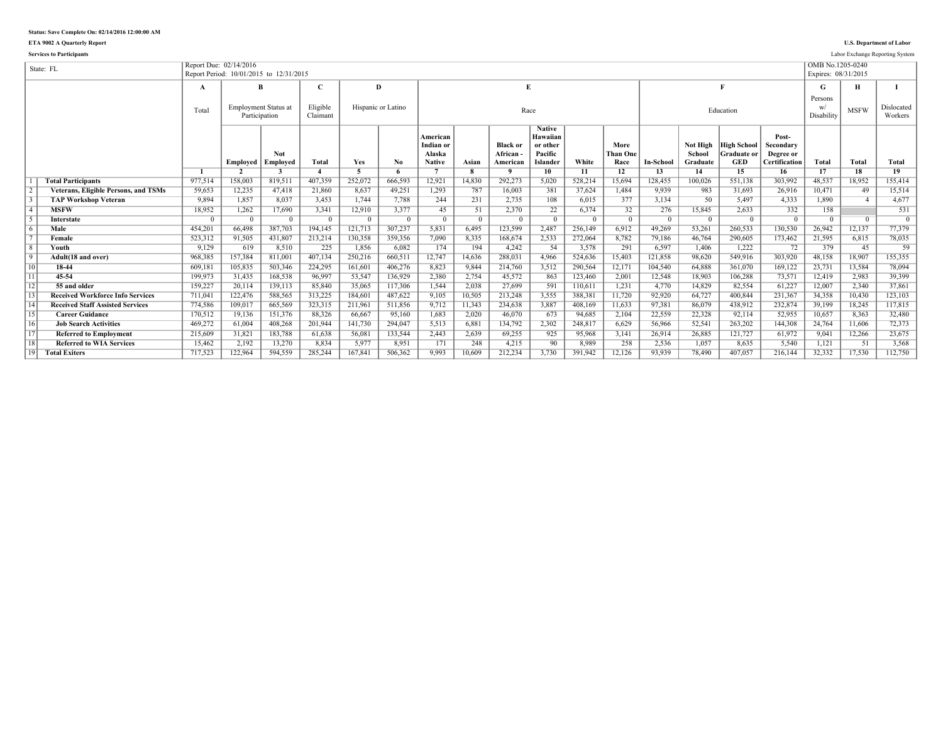**ETA 9002 A Quarterly Report U.S. Department of Labor**

**Services to Participants** Labor Exchange Reporting System

|                 | State: FL                                   |          | Report Due: 02/14/2016  | Report Period: 10/01/2015 to 12/31/2015 |          |                |                    |                       |                         |                 |                      |                |                |           |                    |                                          |                        | OMB No.1205-0240<br>Expires: 08/31/2015 |                |                |
|-----------------|---------------------------------------------|----------|-------------------------|-----------------------------------------|----------|----------------|--------------------|-----------------------|-------------------------|-----------------|----------------------|----------------|----------------|-----------|--------------------|------------------------------------------|------------------------|-----------------------------------------|----------------|----------------|
|                 |                                             | A        |                         | B                                       |          |                | D                  |                       |                         | E               |                      |                |                |           |                    |                                          |                        | G                                       | н              |                |
|                 |                                             |          |                         |                                         |          |                |                    |                       |                         |                 |                      |                |                |           |                    |                                          |                        | Persons                                 |                |                |
|                 |                                             | Total    |                         | <b>Employment Status at</b>             | Eligible |                | Hispanic or Latino |                       |                         | Race            |                      |                |                |           |                    | Education                                |                        | W/                                      | <b>MSFW</b>    | Dislocated     |
|                 |                                             |          |                         | Participation                           | Claimant |                |                    |                       |                         |                 |                      |                |                |           |                    |                                          |                        | Disability                              |                | Workers        |
|                 |                                             |          |                         |                                         |          |                |                    |                       |                         |                 | <b>Native</b>        |                |                |           |                    |                                          |                        |                                         |                |                |
|                 |                                             |          |                         |                                         |          |                |                    | American<br>Indian or |                         | <b>Black or</b> | Hawaiian<br>or other |                | More           |           |                    |                                          | Post-                  |                                         |                |                |
|                 |                                             |          |                         | Not                                     |          |                |                    | Alaska                |                         | <b>African</b>  | Pacific              |                | Than One       |           | Not High<br>School | <b>High School</b><br><b>Graduate or</b> | Secondary<br>Degree or |                                         |                |                |
|                 |                                             |          | Emploved                | Employed                                | Total    | Yes            | No.                | <b>Native</b>         | Asian                   | American        | Islander             | White          | Race           | In-School | Graduate           | <b>GED</b>                               | Certification          | Total                                   | Total          | <b>Total</b>   |
|                 |                                             |          | $\overline{\mathbf{v}}$ |                                         |          | $\overline{5}$ | -6                 |                       | $\overline{\mathbf{R}}$ | $\mathbf{o}$    | 10                   | 11             | 12             | 13        | 14                 | 15                                       | 16                     | 17                                      | 18             | 19             |
|                 | <b>Total Participants</b>                   | 977,514  | 158,003                 | 819,511                                 | 407.359  | 252,072        | 666,593            | 12,921                | 14,830                  | 292,273         | 5,020                | 528,214        | 15,694         | 128,455   | 100,026            | 551,138                                  | 303,992                | 48.537                                  | 18,952         | 155,414        |
|                 | <b>Veterans, Eligible Persons, and TSMs</b> | 59.653   | 12,235                  | 47,418                                  | 21.860   | 8.637          | 49,251             | 1,293                 | 787                     | 16.003          | 381                  | 37.624         | 1.484          | 9.939     | 983                | 31.693                                   | 26.916                 | 10.471                                  | 49             | 15,514         |
|                 | <b>TAP Workshop Veteran</b>                 | 9.894    | 1.857                   | 8.037                                   | 3.453    | 1.744          | 7.788              | 244                   | 231                     | 2.735           | 108                  | 6.015          | 377            | 3.134     | 50                 | 5.497                                    | 4.333                  | 1.890                                   |                | 4.677          |
| $\overline{4}$  | <b>MSFW</b>                                 | 18,952   | 1,262                   | 17,690                                  | 3.341    | 12,910         | 3.377              | 45                    | 51                      | 2.370           | 22                   | 6.374          | 32             | 276       | 15.845             | 2.633                                    | 332                    | 158                                     |                | 531            |
|                 | Interstate                                  | $\Omega$ | $\Omega$                | $\overline{0}$                          | $\Omega$ | $\Omega$       | $\Omega$           | $\Omega$              | $\overline{0}$          | $\Omega$        | $\Omega$             | $\overline{0}$ | $\overline{0}$ | $\Omega$  | $\Omega$           | $\Omega$                                 | $\Omega$               | $\Omega$                                | $\overline{0}$ | $\overline{0}$ |
| 6               | Male                                        | 454,201  | 66.498                  | 387,703                                 | 194.145  | 121,713        | 307,237            | 5,831                 | 6.495                   | 123,599         | 2,487                | 256.149        | 6.912          | 49.269    | 53,261             | 260.533                                  | 130,530                | 26.942                                  | 12,137         | 77,379         |
|                 | Female                                      | 523,312  | 91,505                  | 431,807                                 | 213,214  | 130,358        | 359,356            | 7,090                 | 8,335                   | 168,674         | 2,533                | 272,064        | 8,782          | 79,186    | 46,764             | 290,605                                  | 173,462                | 21,595                                  | 6,815          | 78,035         |
| $\overline{8}$  | <b>Youth</b>                                | 9.129    | 619                     | 8.510                                   | 225      | 1,856          | 6.082              | 174                   | 194                     | 4.242           | 54                   | 3.578          | 291            | 6.597     | 1.406              | 1.222                                    | 72                     | 379                                     | 45             | 59             |
| $\overline{9}$  | Adult(18 and over)                          | 968,385  | 157,384                 | 811,001                                 | 407,134  | 250,216        | 660,511            | 12,747                | 14,636                  | 288,031         | 4,966                | 524,636        | 15,403         | 121,858   | 98,620             | 549,916                                  | 303,920                | 48,158                                  | 18,907         | 155,355        |
| 10              | 18-44                                       | 609,181  | 105,835                 | 503,346                                 | 224.295  | 161.601        | 406,276            | 8,823                 | 9,844                   | 214.760         | 3,512                | 290.564        | 12,171         | 104.540   | 64.888             | 361.070                                  | 169,122                | 23,731                                  | 13,584         | 78,094         |
| $\overline{11}$ | 45-54                                       | 199,973  | 31,435                  | 168,538                                 | 96,997   | 53,547         | 136,929            | 2,380                 | 2,754                   | 45,572          | 863                  | 123,460        | 2,001          | 12,548    | 18,903             | 106,288                                  | 73,571                 | 12,419                                  | 2,983          | 39,399         |
| $\overline{12}$ | 55 and older                                | 159.227  | 20.114                  | 139,113                                 | 85.840   | 35.065         | 117,306            | 1,544                 | 2,038                   | 27.699          | 591                  | 110,611        | 1,231          | 4.770     | 14.829             | 82.554                                   | 61,227                 | 12,007                                  | 2.340          | 37,861         |
| $\overline{13}$ | <b>Received Workforce Info Services</b>     | 711,041  | 122,476                 | 588,565                                 | 313,225  | 184,601        | 487,622            | 9,105                 | 10,505                  | 213,248         | 3,555                | 388.381        | 11,720         | 92,920    | 64,727             | 400.844                                  | 231,367                | 34.358                                  | 10,430         | 123,103        |
| 14              | <b>Received Staff Assisted Services</b>     | 774,586  | 109,017                 | 665,569                                 | 323,315  | 211,961        | 511,856            | 9,712                 | 11,343                  | 234,638         | 3,887                | 408,169        | 11,633         | 97.381    | 86,079             | 438.912                                  | 232,874                | 39,199                                  | 18,245         | 117,815        |
| 15              | <b>Career Guidance</b>                      | 170,512  | 19,136                  | 151,376                                 | 88,326   | 66,667         | 95,160             | 1,683                 | 2,020                   | 46.070          | 673                  | 94.685         | 2,104          | 22,559    | 22,328             | 92,114                                   | 52,955                 | 10,657                                  | 8,363          | 32,480         |
| $\overline{16}$ | <b>Job Search Activities</b>                | 469.272  | 61.004                  | 408,268                                 | 201.944  | 141.730        | 294.047            | 5,513                 | 6,881                   | 134.792         | 2,302                | 248,817        | 6,629          | 56,966    | 52.541             | 263,202                                  | 144.308                | 24.764                                  | 11.606         | 72,373         |
| $\overline{17}$ | <b>Referred to Employment</b>               | 215,609  | 31,821                  | 183,788                                 | 61,638   | 56,081         | 133,544            | 2,443                 | 2,639                   | 69,255          | 925                  | 95,968         | 3,141          | 26,914    | 26,885             | 121,727                                  | 61,972                 | 9,041                                   | 12,266         | 23,675         |
| 18              | <b>Referred to WIA Services</b>             | 15,462   | 2,192                   | 13,270                                  | 8.834    | 5.977          | 8,951              | 171                   | 248                     | 4,215           | 90                   | 8.989          | 258            | 2,536     | 1.057              | 8.635                                    | 5,540                  | 1,121                                   | 51             | 3,568          |
| 19              | <b>Total Exiters</b>                        | 717.523  | 122,964                 | 594.559                                 | 285.244  | 167.841        | 506.362            | 9.993                 | 10.609                  | 212.234         | 3.730                | 391.942        | 12,126         | 93.939    | 78.490             | 407.057                                  | 216.144                | 32.332                                  | 17.530         | 112,750        |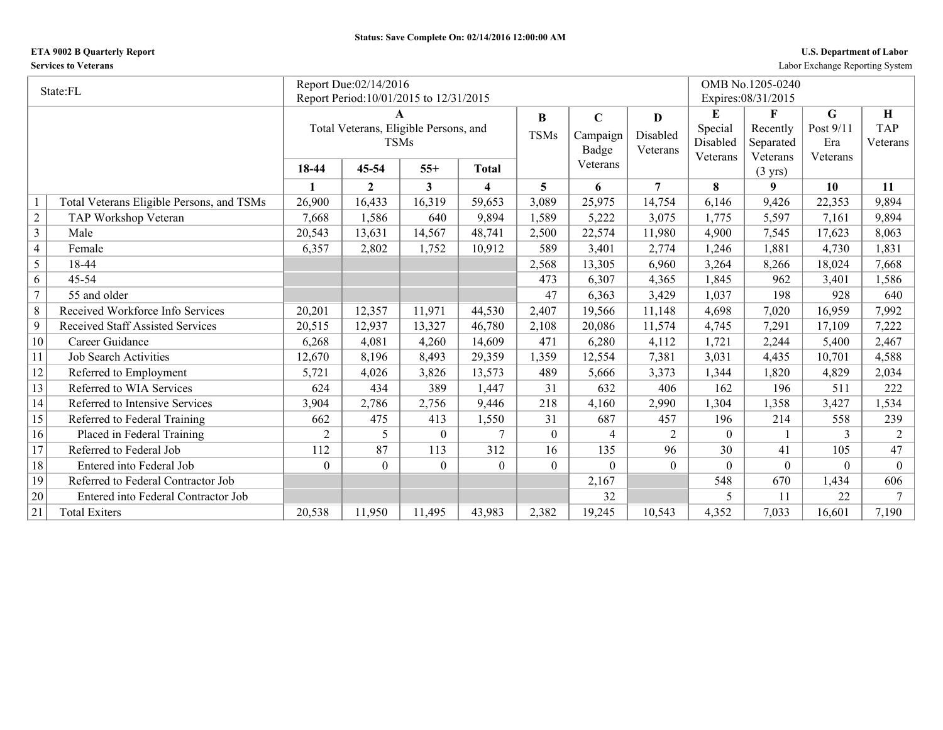## **ETA 9002 B Quarterly Report U.S. Department of Labor**

**Services to Veterans** Labor Exchange Reporting System

|                | State:FL                                  |                | Report Due:02/14/2016                   |          |                  |                |                |          |          | OMB No.1205-0240              |           |            |
|----------------|-------------------------------------------|----------------|-----------------------------------------|----------|------------------|----------------|----------------|----------|----------|-------------------------------|-----------|------------|
|                |                                           |                | Report Period: 10/01/2015 to 12/31/2015 |          |                  |                |                |          |          | Expires: 08/31/2015           |           |            |
|                |                                           |                | A                                       |          |                  | $\bf{B}$       | $\mathbf C$    | D        | E        | F                             | G         | H          |
|                |                                           |                | Total Veterans, Eligible Persons, and   |          |                  | <b>TSMs</b>    | Campaign       | Disabled | Special  | Recently                      | Post 9/11 | <b>TAP</b> |
|                |                                           |                | <b>TSMs</b>                             |          |                  |                | Badge          | Veterans | Disabled | Separated                     | Era       | Veterans   |
|                |                                           | 18-44          | 45-54                                   | $55+$    | <b>Total</b>     |                | Veterans       |          | Veterans | Veterans<br>$(3 \text{ yrs})$ | Veterans  |            |
|                |                                           | 1              | $\mathbf{2}$                            | 3        | $\boldsymbol{4}$ | 5              | 6              | 7        | 8        | 9                             | 10        | <b>11</b>  |
|                | Total Veterans Eligible Persons, and TSMs | 26,900         | 16,433                                  | 16,319   | 59,653           | 3,089          | 25,975         | 14,754   | 6,146    | 9,426                         | 22,353    | 9,894      |
| $\sqrt{2}$     | TAP Workshop Veteran                      | 7,668          | 1,586                                   | 640      | 9,894            | 1,589          | 5,222          | 3,075    | 1,775    | 5,597                         | 7,161     | 9,894      |
| $\mathfrak{Z}$ | Male                                      | 20,543         | 13,631                                  | 14,567   | 48,741           | 2,500          | 22,574         | 11,980   | 4,900    | 7,545                         | 17,623    | 8,063      |
| $\overline{4}$ | Female                                    | 6,357          | 2,802                                   | 1,752    | 10,912           | 589            | 3,401          | 2,774    | 1,246    | 1,881                         | 4,730     | 1,831      |
| 5              | 18-44                                     |                |                                         |          |                  | 2,568          | 13,305         | 6,960    | 3,264    | 8,266                         | 18,024    | 7,668      |
| 6              | $45 - 54$                                 |                |                                         |          |                  | 473            | 6,307          | 4,365    | 1,845    | 962                           | 3,401     | 1,586      |
| $\overline{7}$ | 55 and older                              |                |                                         |          |                  | 47             | 6,363          | 3,429    | 1,037    | 198                           | 928       | 640        |
| 8              | Received Workforce Info Services          | 20,201         | 12,357                                  | 11,971   | 44,530           | 2,407          | 19,566         | 11,148   | 4,698    | 7,020                         | 16,959    | 7,992      |
| 9              | <b>Received Staff Assisted Services</b>   | 20,515         | 12,937                                  | 13,327   | 46,780           | 2,108          | 20,086         | 11,574   | 4,745    | 7,291                         | 17,109    | 7,222      |
| 10             | Career Guidance                           | 6,268          | 4,081                                   | 4,260    | 14,609           | 471            | 6,280          | 4,112    | 1,721    | 2,244                         | 5,400     | 2,467      |
| 11             | <b>Job Search Activities</b>              | 12,670         | 8,196                                   | 8,493    | 29,359           | 1,359          | 12,554         | 7,381    | 3,031    | 4,435                         | 10,701    | 4,588      |
| 12             | Referred to Employment                    | 5,721          | 4,026                                   | 3,826    | 13,573           | 489            | 5,666          | 3,373    | 1,344    | 1,820                         | 4,829     | 2,034      |
| 13             | Referred to WIA Services                  | 624            | 434                                     | 389      | 1,447            | 31             | 632            | 406      | 162      | 196                           | 511       | 222        |
| 14             | Referred to Intensive Services            | 3,904          | 2,786                                   | 2,756    | 9,446            | 218            | 4,160          | 2,990    | 1,304    | 1,358                         | 3,427     | 1,534      |
| 15             | Referred to Federal Training              | 662            | 475                                     | 413      | 1,550            | 31             | 687            | 457      | 196      | 214                           | 558       | 239        |
| 16             | Placed in Federal Training                | $\overline{2}$ | 5                                       | $\theta$ | 7                | $\overline{0}$ | $\overline{4}$ | 2        | $\theta$ |                               | 3         | 2          |
| 17             | Referred to Federal Job                   | 112            | 87                                      | 113      | 312              | 16             | 135            | 96       | 30       | 41                            | 105       | 47         |
| 18             | Entered into Federal Job                  | $\Omega$       | $\overline{0}$                          | $\Omega$ | $\theta$         | $\overline{0}$ | $\theta$       | $\theta$ | $\Omega$ | $\theta$                      | $\Omega$  | $\theta$   |
| 19             | Referred to Federal Contractor Job        |                |                                         |          |                  |                | 2,167          |          | 548      | 670                           | 1,434     | 606        |
| 20             | Entered into Federal Contractor Job       |                |                                         |          |                  |                | 32             |          | 5        | 11                            | 22        | $\tau$     |
| 21             | <b>Total Exiters</b>                      | 20,538         | 11,950                                  | 11,495   | 43,983           | 2,382          | 19,245         | 10,543   | 4,352    | 7,033                         | 16,601    | 7,190      |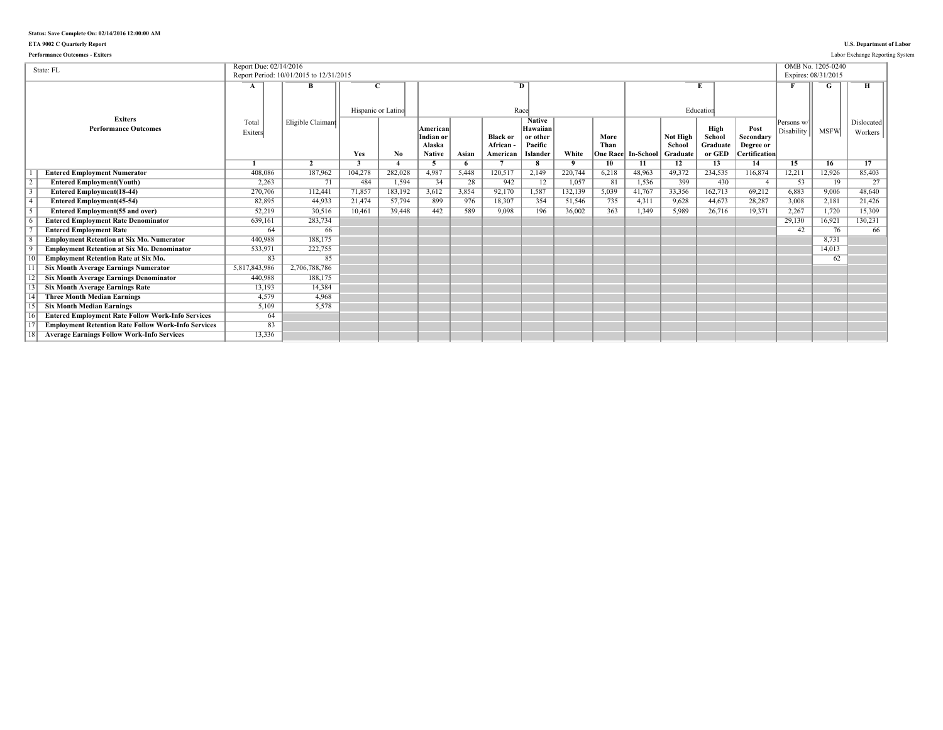### **ETA 9002 C Quarterly Report U.S. Department of Labor**

| <b>Performance Outcomes - Exiters</b>                      |                        |                                         |                    |         |                                                  |       |                                        |                                                                     |              |                                 |           |                                |                                      |                                                        |                          |                                          | Labor Exchange Reporting System |
|------------------------------------------------------------|------------------------|-----------------------------------------|--------------------|---------|--------------------------------------------------|-------|----------------------------------------|---------------------------------------------------------------------|--------------|---------------------------------|-----------|--------------------------------|--------------------------------------|--------------------------------------------------------|--------------------------|------------------------------------------|---------------------------------|
| State: FL                                                  | Report Due: 02/14/2016 | Report Period: 10/01/2015 to 12/31/2015 |                    |         |                                                  |       |                                        |                                                                     |              |                                 |           |                                |                                      |                                                        |                          | OMB No. 1205-0240<br>Expires: 08/31/2015 |                                 |
|                                                            | A                      | B                                       | Hispanic or Latino |         |                                                  |       |                                        | D<br>Race                                                           |              |                                 |           |                                | Education                            |                                                        |                          |                                          |                                 |
| <b>Exiters</b><br><b>Performance Outcomes</b>              | Total<br>Exiters       | Eligible Claimant                       | Yes                | No.     | American<br>Indian or<br>Alaska<br><b>Native</b> | Asian | <b>Black or</b><br>African<br>American | <b>Native</b><br>Hawaiian<br>or other<br>Pacific<br><b>Islander</b> | White        | More<br>Than<br><b>Dne Race</b> | In-School | Not High<br>School<br>Graduate | High<br>School<br>Graduate<br>or GED | Post<br>Secondary<br>Degree or<br><b>Certification</b> | Persons w/<br>Disability | <b>MSFW</b>                              | Dislocated<br>Workers           |
|                                                            |                        | $\overline{2}$                          | 3                  |         | -5                                               | 6     |                                        | 8                                                                   | $\mathbf{Q}$ | 10                              | 11        | 12                             | 13                                   | 14                                                     | 15                       | 16                                       | 17                              |
| <b>Entered Employment Numerator</b>                        | 408,086                | 187,962                                 | 104,278            | 282,028 | 4,987                                            | 5,448 | 120,517                                | 2,149                                                               | 220.744      | 6,218                           | 48.963    | 49.372<br>399                  | 234,535                              | 116,874                                                | 12,211                   | 12,926                                   | 85.403                          |
| <b>Entered Employment(Youth)</b>                           | 2,263                  | 71                                      | 484                | 1,594   | 34                                               | 28    | 942                                    | 12                                                                  | 1,057        | 81                              | 1,536     |                                | 430                                  | $\overline{4}$                                         | 53                       | 19                                       | 27                              |
| <b>Entered Employment(18-44)</b>                           | 270,706                | 112,441                                 | 71,857             | 183,192 | 3,612                                            | 3,854 | 92,170                                 | 1,587                                                               | 132,139      | 5,039                           | 41,767    | 33,356                         | 162,713                              | 69,212                                                 | 6.883                    | 9.006                                    | 48.640                          |
| <b>Entered Employment</b> (45-54)                          | 82,895                 | 44.933                                  | 21,474             | 57,794  | 899                                              | 976   | 18,307                                 | 354                                                                 | 51,546       | 735                             | 4,311     | 9,628                          | 44,673                               | 28,287                                                 | 3.008                    | 2,181                                    | 21,426                          |
| <b>Entered Employment(55 and over)</b>                     | 52,219                 | 30.516                                  | 10,461             | 39,448  | 442                                              | 589   | 9,098                                  | 196                                                                 | 36,002       | 363                             | 1.349     | 5.989                          | 26,716                               | 19,371                                                 | 2,267                    | 1,720                                    | 15,309                          |
| <b>Entered Employment Rate Denominator</b>                 | 639,161                | 283,734                                 |                    |         |                                                  |       |                                        |                                                                     |              |                                 |           |                                |                                      |                                                        | 29,130                   | 16,921                                   | 130,231                         |
| <b>Entered Employment Rate</b>                             | 64                     | 66                                      |                    |         |                                                  |       |                                        |                                                                     |              |                                 |           |                                |                                      |                                                        | 42                       | 76                                       | 66                              |
| <b>Employment Retention at Six Mo. Numerator</b>           | 440.988                | 188.175                                 |                    |         |                                                  |       |                                        |                                                                     |              |                                 |           |                                |                                      |                                                        |                          | 8.731                                    |                                 |
| <b>Employment Retention at Six Mo. Denominator</b>         | 533,971                | 222,755                                 |                    |         |                                                  |       |                                        |                                                                     |              |                                 |           |                                |                                      |                                                        |                          | 14,013                                   |                                 |
| <b>Employment Retention Rate at Six Mo.</b>                | 83                     | 85                                      |                    |         |                                                  |       |                                        |                                                                     |              |                                 |           |                                |                                      |                                                        |                          | 62                                       |                                 |
| <b>Six Month Average Earnings Numerator</b>                | 5,817,843,986          | 2,706,788,786                           |                    |         |                                                  |       |                                        |                                                                     |              |                                 |           |                                |                                      |                                                        |                          |                                          |                                 |
| <b>Six Month Average Earnings Denominator</b>              | 440,988                | 188,175                                 |                    |         |                                                  |       |                                        |                                                                     |              |                                 |           |                                |                                      |                                                        |                          |                                          |                                 |
| <b>Six Month Average Earnings Rate</b>                     | 13,193                 | 14,384                                  |                    |         |                                                  |       |                                        |                                                                     |              |                                 |           |                                |                                      |                                                        |                          |                                          |                                 |
| <b>Three Month Median Earnings</b>                         | 4.579                  | 4.968                                   |                    |         |                                                  |       |                                        |                                                                     |              |                                 |           |                                |                                      |                                                        |                          |                                          |                                 |
| <b>Six Month Median Earnings</b>                           | 5,109                  | 5.578                                   |                    |         |                                                  |       |                                        |                                                                     |              |                                 |           |                                |                                      |                                                        |                          |                                          |                                 |
| <b>Entered Employment Rate Follow Work-Info Services</b>   | 64                     |                                         |                    |         |                                                  |       |                                        |                                                                     |              |                                 |           |                                |                                      |                                                        |                          |                                          |                                 |
| <b>Employment Retention Rate Follow Work-Info Services</b> | 83                     |                                         |                    |         |                                                  |       |                                        |                                                                     |              |                                 |           |                                |                                      |                                                        |                          |                                          |                                 |
| <b>Average Earnings Follow Work-Info Services</b>          | 13,336                 |                                         |                    |         |                                                  |       |                                        |                                                                     |              |                                 |           |                                |                                      |                                                        |                          |                                          |                                 |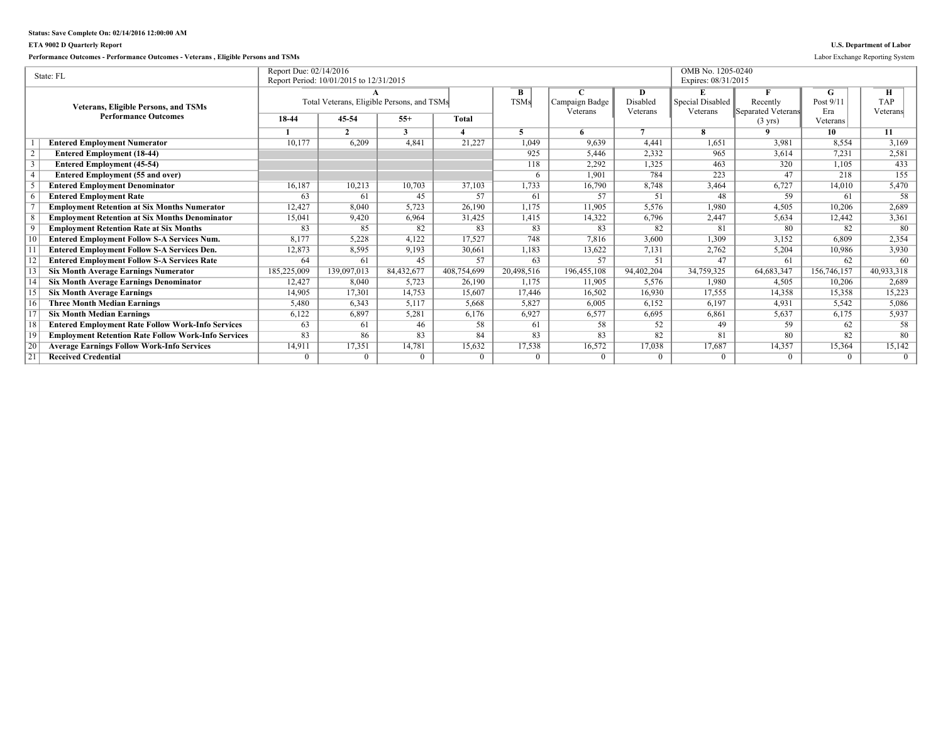## **ETA 9002 D Quarterly Report U.S. Department of Labor**

**Performance Outcomes - Performance Outcomes - Veterans , Eligible Persons and TSMs** Labor Exchange Reporting System

|                 | State: FL                                                  | Report Due: 02/14/2016 |                                            |              |              |             |                |              | OMB No. 1205-0240   |                    |             |            |
|-----------------|------------------------------------------------------------|------------------------|--------------------------------------------|--------------|--------------|-------------|----------------|--------------|---------------------|--------------------|-------------|------------|
|                 |                                                            |                        | Report Period: 10/01/2015 to 12/31/2015    |              |              |             |                |              | Expires: 08/31/2015 |                    |             |            |
|                 |                                                            |                        |                                            |              |              | B           |                | D            |                     |                    | G           | н          |
|                 | <b>Veterans, Eligible Persons, and TSMs</b>                |                        | Total Veterans, Eligible Persons, and TSMs |              |              | <b>TSMs</b> | Campaign Badge | Disabled     | Special Disabled    | Recently           | Post 9/11   | <b>TAP</b> |
|                 | <b>Performance Outcomes</b>                                | 18-44                  | 45-54                                      | $55+$        | <b>Total</b> |             | Veterans       | Veterans     | Veterans            | Separated Veterans | Era         | Veterans   |
|                 |                                                            |                        |                                            |              |              |             |                |              |                     | $(3 \text{ yrs})$  | Veterans    |            |
|                 |                                                            |                        | $\mathcal{L}$                              | $\mathbf{a}$ |              |             |                | $\mathbf{7}$ | я                   | $\Omega$           | 10          | 11         |
|                 | <b>Entered Employment Numerator</b>                        | 10,177                 | 6,209                                      | 4,841        | 21,227       | 1,049       | 9.639          | 4,441        | 1,651               | 3.981              | 8,554       | 3,169      |
|                 | <b>Entered Employment (18-44)</b>                          |                        |                                            |              |              | 925         | 5.446          | 2,332        | 965                 | 3,614              | 7.231       | 2,581      |
|                 | <b>Entered Employment (45-54)</b>                          |                        |                                            |              |              | 118         | 2,292          | 1,325        | 463                 | 320                | 1,105       | 433        |
|                 | <b>Entered Employment (55 and over)</b>                    |                        |                                            |              |              | 6           | 1.901          | 784          | 223                 | 47                 | 218         | 155        |
|                 | <b>Entered Employment Denominator</b>                      | 16.187                 | 10.213                                     | 10,703       | 37,103       | 1,733       | 16,790         | 8.748        | 3,464               | 6,727              | 14.010      | 5,470      |
|                 | <b>Entered Employment Rate</b>                             | 63                     | -61                                        | 45           | 57           | 61          | 57             | 51           | 48                  | 59                 | 61          | 58         |
|                 | <b>Employment Retention at Six Months Numerator</b>        | 12,427                 | 8,040                                      | 5,723        | 26,190       | 1,175       | 11,905         | 5,576        | 1,980               | 4,505              | 10,206      | 2,689      |
|                 | <b>Employment Retention at Six Months Denominator</b>      | 15,041                 | 9,420                                      | 6,964        | 31,425       | 1,415       | 14,322         | 6,796        | 2,447               | 5,634              | 12,442      | 3,361      |
|                 | <b>Employment Retention Rate at Six Months</b>             | 83                     | 85                                         | 82           | 83           | 83          | 83             | 82           | 81                  | 80                 | 82          | 80         |
|                 | <b>Entered Employment Follow S-A Services Num.</b>         | 8,177                  | 5,228                                      | 4,122        | 17,527       | 748         | 7,816          | 3,600        | 1,309               | 3,152              | 6.809       | 2,354      |
|                 | <b>Entered Employment Follow S-A Services Den.</b>         | 12,873                 | 8,595                                      | 9,193        | 30,661       | 1,183       | 13,622         | 7,131        | 2,762               | 5,204              | 10,986      | 3,930      |
|                 | <b>Entered Employment Follow S-A Services Rate</b>         | 64                     | 61                                         | 45           | 57           | 63          | 57             | 51           | 47                  | 61                 | 62          | 60         |
|                 | <b>Six Month Average Earnings Numerator</b>                | 185,225,009            | 139,097,013                                | 84,432,677   | 408,754,699  | 20,498,516  | 196,455,108    | 94,402,204   | 34,759,325          | 64,683,347         | 156,746,157 | 40,933,318 |
|                 | <b>Six Month Average Earnings Denominator</b>              | 12,427                 | 8.040                                      | 5,723        | 26,190       | 1.175       | 11,905         | 5,576        | 1,980               | 4,505              | 10.206      | 2,689      |
|                 | <b>Six Month Average Earnings</b>                          | 14,905                 | 17,301                                     | 14,753       | 15.607       | 17.446      | 16,502         | 16,930       | 17,555              | 14,358             | 15,358      | 15,223     |
| 16              | <b>Three Month Median Earnings</b>                         | 5,480                  | 6.343                                      | 5,117        | 5.668        | 5,827       | 6.005          | 6.152        | 6,197               | 4,931              | 5.542       | 5,086      |
|                 | <b>Six Month Median Earnings</b>                           | 6,122                  | 6,897                                      | 5,281        | 6,176        | 6,927       | 6,577          | 6,695        | 6,861               | 5,637              | 6,175       | 5,937      |
| $\overline{18}$ | <b>Entered Employment Rate Follow Work-Info Services</b>   | 63                     | 61                                         | 46           | 58           | 61          | 58             | 52           | 49                  | 59                 | 62          | 58         |
| $\overline{19}$ | <b>Employment Retention Rate Follow Work-Info Services</b> | 83                     | 86                                         | 83           | 84           | 83          | 83             | 82           | 81                  | 80                 | 82          | 80         |
| $\overline{20}$ | <b>Average Earnings Follow Work-Info Services</b>          | 14,911                 | 17,351                                     | 14,781       | 15,632       | 17,538      | 16,572         | 17,038       | 17,687              | 14,357             | 15,364      | 15,142     |
| 21              | <b>Received Credential</b>                                 | $\Omega$               | $\Omega$                                   | $\Omega$     | $\Omega$     | $\Omega$    | $\theta$       | $\theta$     | $\Omega$            | $\Omega$           | $\Omega$    | $\Omega$   |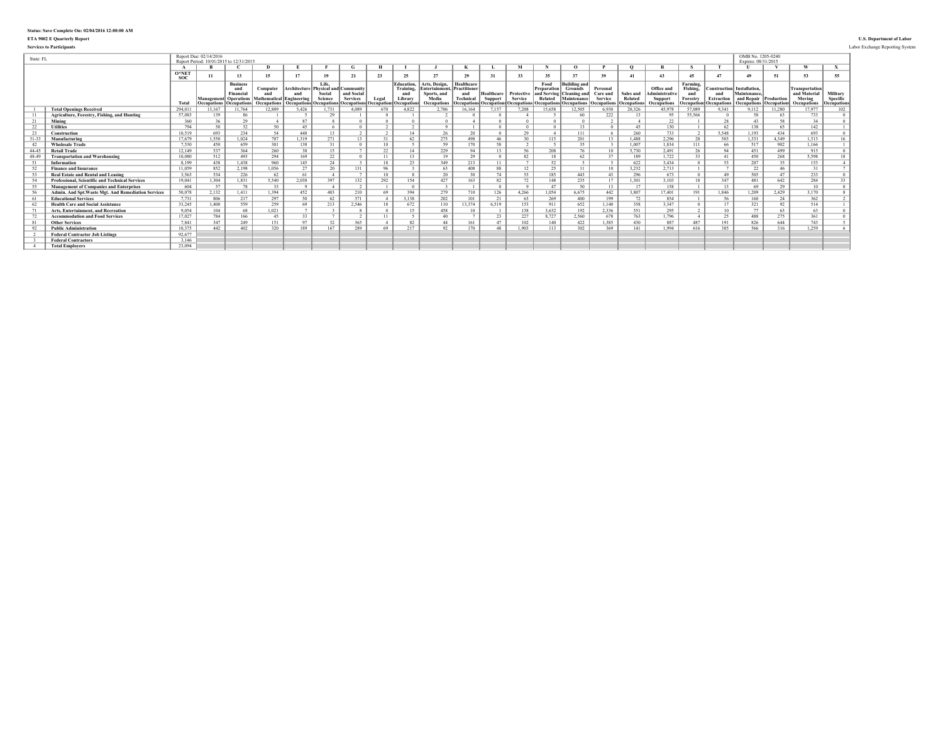### **ETA 9002 E Quarterly Report U.S. Department of Labor**

**Services to Participants** Labor Exchange Reporting System

| State: FL |                                                        |                 | Report Due: 02/14/2016<br>Report Period: 10/01/2015 to 12/31/201: |                                                                            |                                                                   |                                           |                                                             |                                                                 |                     |                                                                |                                                                                            |                                                      |                                     |                                                         |                                                            |                                                                                                       |                                                              |                                                   |                                                                    |                                         |                                                                            | OMB No. 1205-0240<br>Expires: 08/31/2015                                          |        |                                                                       |                                      |
|-----------|--------------------------------------------------------|-----------------|-------------------------------------------------------------------|----------------------------------------------------------------------------|-------------------------------------------------------------------|-------------------------------------------|-------------------------------------------------------------|-----------------------------------------------------------------|---------------------|----------------------------------------------------------------|--------------------------------------------------------------------------------------------|------------------------------------------------------|-------------------------------------|---------------------------------------------------------|------------------------------------------------------------|-------------------------------------------------------------------------------------------------------|--------------------------------------------------------------|---------------------------------------------------|--------------------------------------------------------------------|-----------------------------------------|----------------------------------------------------------------------------|-----------------------------------------------------------------------------------|--------|-----------------------------------------------------------------------|--------------------------------------|
|           |                                                        |                 |                                                                   |                                                                            | $\mathbf{D}$                                                      |                                           |                                                             | G                                                               |                     |                                                                |                                                                                            |                                                      |                                     |                                                         |                                                            |                                                                                                       |                                                              |                                                   |                                                                    |                                         |                                                                            |                                                                                   |        | $\mathbf{u}$                                                          |                                      |
|           |                                                        | $O*NE1$<br>SOC: | 11                                                                | 13                                                                         | 15                                                                | 17                                        | 19                                                          | 21                                                              | 23                  | 25                                                             | 27                                                                                         | 29                                                   | 31                                  | 33                                                      | 35                                                         | 27                                                                                                    | 39                                                           | 41                                                |                                                                    | $45^{\circ}$                            |                                                                            | 49                                                                                | 51     | 53                                                                    | 55                                   |
|           |                                                        | Tota            | <b>Occupations b</b>                                              | <b>Business</b><br>Financia<br>Management Operations<br><b>Occupations</b> | Computer<br>and<br>Mathematical Engineering<br><b>Occupations</b> | Architecture<br>and<br><b>Occupations</b> | Life.<br><b>Physical and Community</b><br>Social<br>Science | and Social<br><b>Services</b><br><b>Occupations</b> Occupations | Legal<br>Occupation | <b>Education.</b><br>Training,<br>and<br>Library<br>Occupation | Arts, Design.<br><b>Entertainment, Practitioner</b><br>Sports, and<br>Media<br>Occupations | Healthcare<br><b>Technical</b><br><b>Decupations</b> | <b>Healthcare</b><br><b>Support</b> | Protective<br>Service<br><b>Occupations Occupations</b> | Food<br>Preparation <sup>1</sup><br>and Serving<br>Related | <b>Building and</b><br><b>Grounds</b><br>Cleaning and<br>Maintenanc<br><b>Occupations</b> Occupations | Personal<br>Care and<br><b>Service</b><br><b>Decupations</b> | Sales and<br><b>Related</b><br><b>Occupations</b> | Office and<br>dministrativ<br><b>Support</b><br><b>Occupations</b> | Farming.<br>Fishing.<br>and<br>Forestry | Construction<br>and<br><b>Extraction</b><br><b>Decupations Occupations</b> | Installation.<br>Maintenance.<br>and Repair Production<br>Occupations Occupations |        | <b>Transportation</b><br>and Material<br>Moving<br><b>Occupations</b> | Military<br>Specific<br>Occupations. |
|           | <b>Total Openings Received</b>                         | 294.01          | 13,167                                                            | 11.764                                                                     | 12.809                                                            | 5,426                                     |                                                             | 4.089                                                           | 670                 | 4,822                                                          | 2,706                                                                                      | 16,164                                               | 7,157                               | 7.208                                                   | 15.658                                                     | 12,505                                                                                                | 6,930                                                        | 20,326                                            | 45.978                                                             | 57,089                                  | 9.341                                                                      | 112                                                                               | 11,280 | 7.977                                                                 | 102                                  |
| 11        | Agriculture, Forestry, Fishing, and Hunting            | 57,083          | 139                                                               | 86                                                                         |                                                                   |                                           | 29                                                          |                                                                 |                     |                                                                |                                                                                            |                                                      |                                     |                                                         |                                                            | 60                                                                                                    | 222                                                          | 13                                                | 95                                                                 | 55.566                                  |                                                                            | 58                                                                                | 63     | 733                                                                   |                                      |
| 21        | Mining                                                 | 360             | 36                                                                | 29                                                                         |                                                                   | 87                                        |                                                             |                                                                 |                     |                                                                |                                                                                            |                                                      |                                     |                                                         |                                                            |                                                                                                       |                                                              |                                                   | 22                                                                 |                                         | 28                                                                         | $\Lambda$ <sup>3</sup>                                                            | 58     | 34                                                                    |                                      |
| 22        | <b>Utilities</b>                                       | 794             | $50 -$                                                            | 32                                                                         | 50                                                                | 45                                        |                                                             |                                                                 |                     |                                                                |                                                                                            |                                                      |                                     |                                                         |                                                            | 13                                                                                                    |                                                              | 45                                                | 130                                                                |                                         | 62                                                                         | 138                                                                               | 65     | 142                                                                   |                                      |
| 23        | Construction                                           | 10.519          | 693                                                               | 234                                                                        | 54                                                                | 448                                       | 13                                                          |                                                                 | $\sim$              | 14                                                             | 26                                                                                         | 20                                                   |                                     | 29                                                      |                                                            | 111                                                                                                   |                                                              | 260                                               | 733                                                                | $\sim$                                  | 5.548                                                                      | 1.193                                                                             | 434    | 693                                                                   |                                      |
| $31 - 31$ | Manufacturing                                          | 17.679          | 1,550                                                             | 1.024                                                                      | 707                                                               | 1.319                                     | 271                                                         | 13                                                              | 21                  | 62                                                             | 275                                                                                        | 498                                                  |                                     | 30                                                      | 115                                                        | 201                                                                                                   |                                                              | 1.488                                             | 2,296                                                              | 28                                      | 503                                                                        | 1.331                                                                             | 4.349  | 1.513                                                                 |                                      |
| 42        | <b>Wholesale Trade</b>                                 | 7.530           | 450                                                               | 659                                                                        | 301                                                               | 138                                       |                                                             |                                                                 | $10^{-7}$           |                                                                | 59                                                                                         | 170                                                  | 58                                  |                                                         |                                                            | 35                                                                                                    |                                                              | 1.007                                             | 1.834                                                              | 111                                     | 66                                                                         | 517                                                                               | 902    | 1.166                                                                 |                                      |
| 44-45     | <b>Retail Trade</b>                                    | 12.149          | 537                                                               | 364                                                                        | 260                                                               | 38                                        | 15                                                          |                                                                 | 22                  | 14                                                             | 229                                                                                        | 94                                                   | 13                                  | 56                                                      | 208                                                        | 76                                                                                                    | 10                                                           | 5,730                                             | 2.491                                                              | 26                                      | 94                                                                         | 451                                                                               | 499    | 915                                                                   |                                      |
| 48-49     | <b>Transportation and Warehousing</b>                  | 10.080          | 512                                                               | 493                                                                        | 294                                                               | 169                                       | 22                                                          |                                                                 | 11                  | 13                                                             | 19                                                                                         | 29                                                   |                                     | 82                                                      | 18                                                         | 62                                                                                                    | 27                                                           | 189                                               | 1,722                                                              | $33 -$                                  |                                                                            | 450                                                                               | 268    | 5.598                                                                 |                                      |
| 51        | Information                                            | 8.199           | 438                                                               | 1.438                                                                      | 960                                                               | 145                                       | 24                                                          |                                                                 | 18                  | 23                                                             | 349                                                                                        | 213                                                  | 11                                  |                                                         | 52                                                         |                                                                                                       |                                                              | 622                                               | 3.434                                                              |                                         | 53                                                                         | 207                                                                               | 35     | 153                                                                   |                                      |
| 52        | <b>Finance and Insurance</b>                           | 11.059          | 852                                                               | 2.198                                                                      | 1.056                                                             | 27                                        | 20                                                          | 131                                                             | 96                  |                                                                | 63                                                                                         | 408                                                  | 88                                  | 12                                                      | 25                                                         | 11                                                                                                    | 10                                                           | 3,232                                             | 2,713                                                              |                                         |                                                                            | 22                                                                                | 46     |                                                                       |                                      |
| 53        | <b>Real Estate and Rental and Leasing</b>              | 3.563           | 534                                                               | 226                                                                        | 62                                                                | 61                                        |                                                             |                                                                 | $10-10$             |                                                                | 20                                                                                         | 30                                                   | 74                                  | 53                                                      | 185                                                        | 443                                                                                                   | 43                                                           | 296                                               | 673                                                                |                                         | 49                                                                         | 505                                                                               | 47     | 233                                                                   |                                      |
| 54        | <b>Professional, Scientific and Technical Services</b> | 19.041          | 1.304                                                             | 1.831                                                                      | 5.540                                                             | 2,038                                     | 397                                                         | 132                                                             | 292                 | 154                                                            | 427                                                                                        | 163                                                  | 82                                  | 72                                                      | 148                                                        | 235                                                                                                   | 17                                                           | 1.301                                             | 3,103                                                              | 18                                      | 347                                                                        | 481                                                                               | 642    | 284                                                                   | 33                                   |
| 55        | <b>Management of Companies and Enterprises</b>         | 604             | 57                                                                | 78                                                                         | 33                                                                |                                           |                                                             |                                                                 |                     |                                                                |                                                                                            |                                                      |                                     |                                                         | 47                                                         | 50                                                                                                    | $\overline{13}$                                              | 17                                                | 158                                                                |                                         | 13                                                                         | 69                                                                                | 29     | 10                                                                    |                                      |
| 56        | Admin. And Spt. Waste Mgt. And Remediation Services    | 50,078          | 2,132                                                             | 1,411                                                                      | 1,394                                                             | 452                                       | 403                                                         | 210                                                             | 69                  | 394                                                            | 279                                                                                        | 710                                                  | 126                                 | 4,266                                                   | 1.054                                                      | 6,675                                                                                                 | 442                                                          | 3,807                                             | 17,401                                                             | 191                                     | 1.846                                                                      | 1,209                                                                             | 2,429  | 3,170                                                                 |                                      |
| -61       | <b>Educational Services</b>                            | 7.731           | 806                                                               | 217                                                                        | 297                                                               | $50^{\circ}$                              | 62                                                          | 371                                                             |                     | 3138                                                           | 202                                                                                        | 101                                                  | 21                                  | 63                                                      | 269                                                        | 400                                                                                                   | 199                                                          | 72                                                | 854                                                                |                                         | 56                                                                         | 160                                                                               | 24     | 362                                                                   |                                      |
| 62        | <b>Health Care and Social Assistance</b>               | 33,245          | 1.400                                                             | 559                                                                        | 259                                                               | 69                                        | 213                                                         | 2,546                                                           | 18                  | 672                                                            | 110                                                                                        | 13,374                                               | 6.519                               | 153                                                     | 911                                                        | 652                                                                                                   | 1.140                                                        | 358                                               | 3,347                                                              |                                         | 17                                                                         | 321                                                                               | 92     | 514                                                                   |                                      |
| 71        | Arts, Entertainment, and Recreation                    | 9.054           | 104                                                               | 68                                                                         | 1,021                                                             |                                           |                                                             |                                                                 |                     |                                                                | 458                                                                                        |                                                      |                                     | 138                                                     | 3.632                                                      | 192                                                                                                   | 2,336                                                        | 551                                               | 295                                                                |                                         | 10                                                                         | 77                                                                                | 63     | 63                                                                    |                                      |
| 72        | <b>Accommodation and Food Services</b>                 | 17.027          | 784                                                               | 166                                                                        | 45                                                                | 33                                        |                                                             |                                                                 | 11                  |                                                                | 40                                                                                         |                                                      | 23                                  | 227                                                     | 8,727                                                      | 2,560                                                                                                 | 678                                                          | 763                                               | 1,796                                                              |                                         | 25                                                                         | 488                                                                               | 275    | 361                                                                   |                                      |
| -81       | <b>Other Services</b>                                  | 7.841           | 347                                                               | 249                                                                        | 151                                                               | Q7                                        | 32                                                          | 365                                                             |                     | 82                                                             | 44                                                                                         | 161                                                  | 47                                  | 102                                                     | 140                                                        | 422                                                                                                   | 1.385                                                        | 430                                               | 887                                                                | 487                                     | 191                                                                        | 826                                                                               | 644    | 743                                                                   |                                      |
| 92        | <b>Public Administration</b>                           | 10.375          | 442                                                               | 402                                                                        | 320                                                               | 189                                       | 167                                                         | 289                                                             | 69                  | 217                                                            | 92                                                                                         | 170                                                  |                                     | 1.903                                                   | 113                                                        | 302                                                                                                   | 369                                                          | 141                                               | 1.994                                                              | 616                                     | 385                                                                        | 566                                                                               | 316    | 1.259                                                                 |                                      |
|           | <b>Federal Contractor Job Listings</b>                 | 92,677          |                                                                   |                                                                            |                                                                   |                                           |                                                             |                                                                 |                     |                                                                |                                                                                            |                                                      |                                     |                                                         |                                                            |                                                                                                       |                                                              |                                                   |                                                                    |                                         |                                                                            |                                                                                   |        |                                                                       |                                      |
|           | <b>Federal Contractors</b>                             | 3.146           |                                                                   |                                                                            |                                                                   |                                           |                                                             |                                                                 |                     |                                                                |                                                                                            |                                                      |                                     |                                                         |                                                            |                                                                                                       |                                                              |                                                   |                                                                    |                                         |                                                                            |                                                                                   |        |                                                                       |                                      |
|           | <b>Total Employers</b>                                 | 23.094          |                                                                   |                                                                            |                                                                   |                                           |                                                             |                                                                 |                     |                                                                |                                                                                            |                                                      |                                     |                                                         |                                                            |                                                                                                       |                                                              |                                                   |                                                                    |                                         |                                                                            |                                                                                   |        |                                                                       |                                      |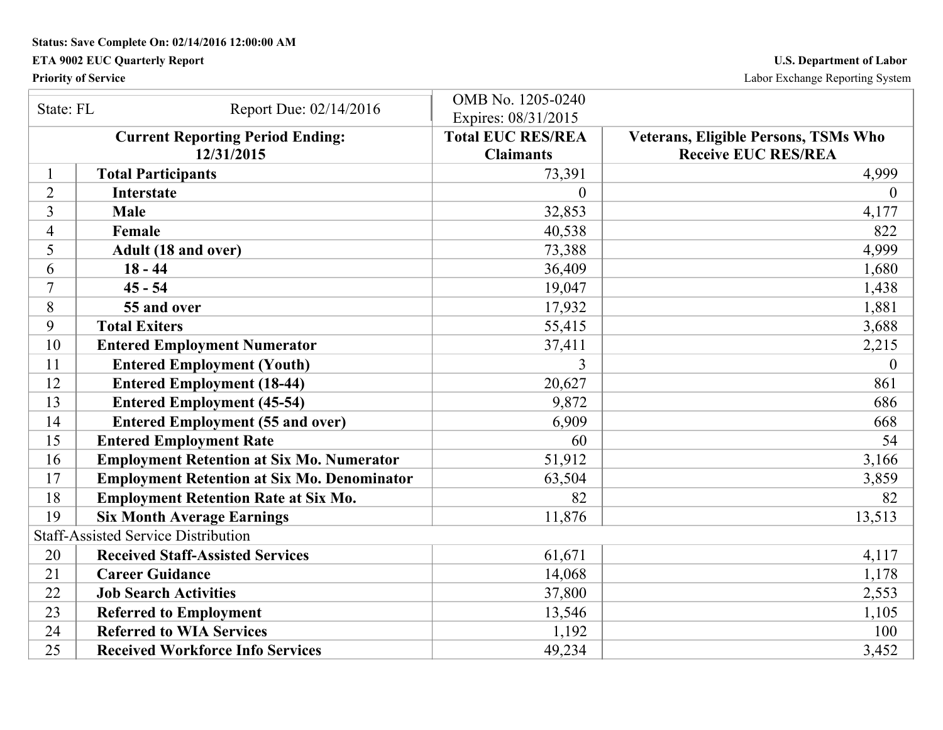## **ETA 9002 EUC Quarterly Report U.S. Department of Labor**

**Priority of Service** Labor Exchange Reporting System

| State: FL      |                                                    | OMB No. 1205-0240        |                                             |
|----------------|----------------------------------------------------|--------------------------|---------------------------------------------|
|                | Report Due: 02/14/2016                             | Expires: 08/31/2015      |                                             |
|                | <b>Current Reporting Period Ending:</b>            | <b>Total EUC RES/REA</b> | <b>Veterans, Eligible Persons, TSMs Who</b> |
|                | 12/31/2015                                         | <b>Claimants</b>         | <b>Receive EUC RES/REA</b>                  |
|                | <b>Total Participants</b>                          | 73,391                   | 4,999                                       |
| $\overline{2}$ | <b>Interstate</b>                                  | $\Omega$                 | $\theta$                                    |
| 3              | <b>Male</b>                                        | 32,853                   | 4,177                                       |
| $\overline{4}$ | Female                                             | 40,538                   | 822                                         |
| 5              | Adult (18 and over)                                | 73,388                   | 4,999                                       |
| 6              | $18 - 44$                                          | 36,409                   | 1,680                                       |
| 7              | $45 - 54$                                          | 19,047                   | 1,438                                       |
| 8              | 55 and over                                        | 17,932                   | 1,881                                       |
| 9              | <b>Total Exiters</b>                               | 55,415                   | 3,688                                       |
| 10             | <b>Entered Employment Numerator</b>                | 37,411                   | 2,215                                       |
| 11             | <b>Entered Employment (Youth)</b>                  | 3                        | $\overline{0}$                              |
| 12             | <b>Entered Employment (18-44)</b>                  | 20,627                   | 861                                         |
| 13             | <b>Entered Employment (45-54)</b>                  | 9,872                    | 686                                         |
| 14             | <b>Entered Employment (55 and over)</b>            | 6,909                    | 668                                         |
| 15             | <b>Entered Employment Rate</b>                     | 60                       | 54                                          |
| 16             | <b>Employment Retention at Six Mo. Numerator</b>   | 51,912                   | 3,166                                       |
| 17             | <b>Employment Retention at Six Mo. Denominator</b> | 63,504                   | 3,859                                       |
| 18             | <b>Employment Retention Rate at Six Mo.</b>        | 82                       | 82                                          |
| 19             | <b>Six Month Average Earnings</b>                  | 11,876                   | 13,513                                      |
|                | <b>Staff-Assisted Service Distribution</b>         |                          |                                             |
| 20             | <b>Received Staff-Assisted Services</b>            | 61,671                   | 4,117                                       |
| 21             | <b>Career Guidance</b>                             | 14,068                   | 1,178                                       |
| 22             | <b>Job Search Activities</b>                       | 37,800                   | 2,553                                       |
| 23             | <b>Referred to Employment</b>                      | 13,546                   | 1,105                                       |
| 24             | <b>Referred to WIA Services</b>                    | 1,192                    | 100                                         |
| 25             | <b>Received Workforce Info Services</b>            | 49,234                   | 3,452                                       |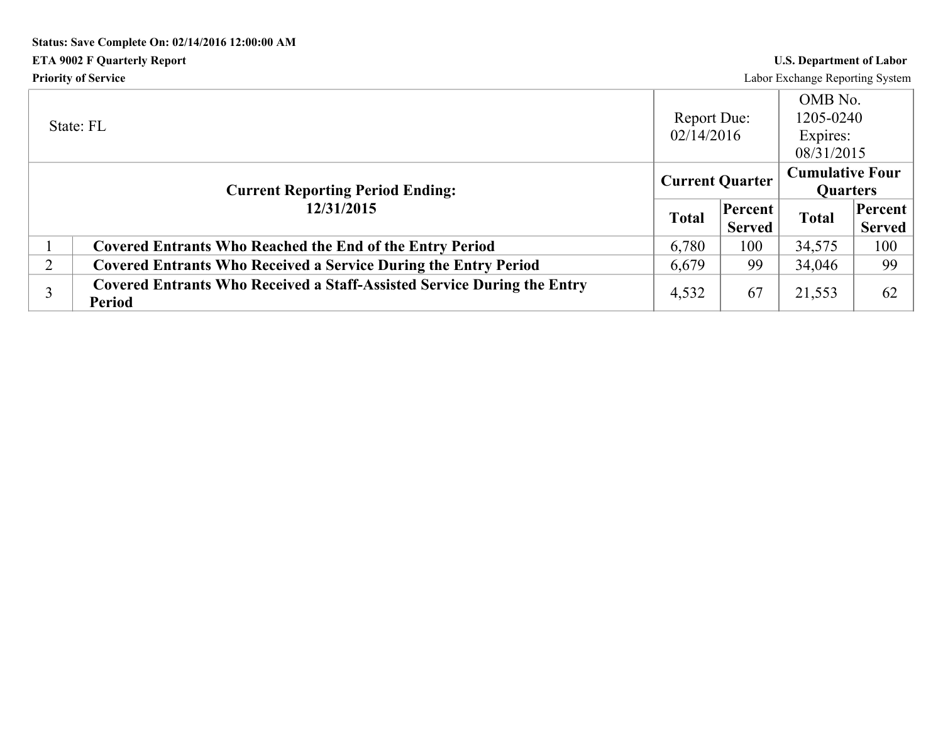# **Status: Save Complete On: 02/14/2016 12:00:00 AM ETA 9002 F Quarterly Report U.S. Department of Labor Priority of Service** Labor Exchange Reporting System

|                | State: FL                                                                                       | Report Due:<br>02/14/2016 |                          | OMB No.<br>1205-0240<br>Expires:<br>08/31/2015 |                          |
|----------------|-------------------------------------------------------------------------------------------------|---------------------------|--------------------------|------------------------------------------------|--------------------------|
|                | <b>Current Reporting Period Ending:</b>                                                         | <b>Current Quarter</b>    |                          | <b>Cumulative Four</b><br><b>Quarters</b>      |                          |
|                | 12/31/2015                                                                                      | <b>Total</b>              | Percent<br><b>Served</b> | <b>Total</b>                                   | Percent<br><b>Served</b> |
|                | <b>Covered Entrants Who Reached the End of the Entry Period</b>                                 | 6,780                     | 100                      | 34,575                                         | 100                      |
| $\overline{2}$ | <b>Covered Entrants Who Received a Service During the Entry Period</b>                          | 6,679                     | 99                       | 34,046                                         | 99                       |
|                | <b>Covered Entrants Who Received a Staff-Assisted Service During the Entry</b><br><b>Period</b> | 4,532                     | 67                       | 21,553                                         | 62                       |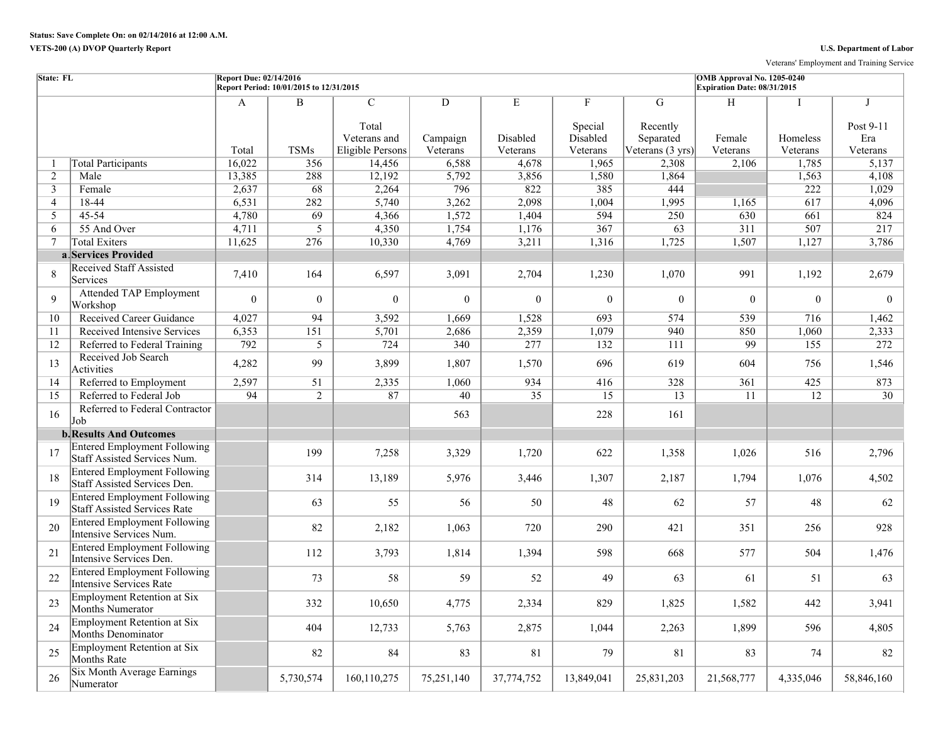Veterans' Employment and Training Service

| State: FL       |                                                                            | <b>Report Due: 02/14/2016</b> | Report Period: 10/01/2015 to 12/31/2015 |                                                             |                           |                           |                                      |                                                          | OMB Approval No. 1205-0240<br>Expiration Date: 08/31/2015 |                      |                              |
|-----------------|----------------------------------------------------------------------------|-------------------------------|-----------------------------------------|-------------------------------------------------------------|---------------------------|---------------------------|--------------------------------------|----------------------------------------------------------|-----------------------------------------------------------|----------------------|------------------------------|
|                 |                                                                            | A<br>Total                    | $\overline{B}$<br><b>TSMs</b>           | $\overline{C}$<br>Total<br>Veterans and<br>Eligible Persons | D<br>Campaign<br>Veterans | E<br>Disabled<br>Veterans | F<br>Special<br>Disabled<br>Veterans | G<br>Recently<br>Separated<br>Veterans $(3 \text{ yrs})$ | H<br>Female<br>Veterans                                   | Homeless<br>Veterans | Post 9-11<br>Era<br>Veterans |
| -1              | <b>Total Participants</b>                                                  | 16,022                        | 356                                     | 14,456                                                      | 6,588                     | 4,678                     | 1,965                                | 2,308                                                    | 2,106                                                     | 1,785                | 5,137                        |
| 2               | Male                                                                       | 13,385                        | 288                                     | 12,192                                                      | 5,792                     | 3,856                     | 1,580                                | 1,864                                                    |                                                           | 1,563                | 4,108                        |
| 3               | Female                                                                     | 2,637                         | 68                                      | 2,264                                                       | 796                       | 822                       | 385                                  | 444                                                      |                                                           | 222                  | 1,029                        |
| $\overline{4}$  | 18-44                                                                      | 6,531                         | 282                                     | 5,740                                                       | 3,262                     | 2,098                     | 1,004                                | 1,995                                                    | 1,165                                                     | 617                  | 4,096                        |
| 5               | $45 - 54$                                                                  | 4,780                         | 69                                      | 4,366                                                       | 1,572                     | 1,404                     | 594                                  | 250                                                      | 630                                                       | 661                  | 824                          |
| 6               | 55 And Over                                                                | 4,711                         | 5                                       | 4,350                                                       | 1,754                     | 1,176                     | 367                                  | 63                                                       | 311                                                       | $\overline{507}$     | 217                          |
| $7\overline{ }$ | <b>Total Exiters</b>                                                       | 11,625                        | 276                                     | 10,330                                                      | 4,769                     | 3,211                     | 1,316                                | 1,725                                                    | 1,507                                                     | 1,127                | 3,786                        |
|                 | a Services Provided                                                        |                               |                                         |                                                             |                           |                           |                                      |                                                          |                                                           |                      |                              |
| 8               | <b>Received Staff Assisted</b><br>Services                                 | 7,410                         | 164                                     | 6,597                                                       | 3,091                     | 2,704                     | 1,230                                | 1,070                                                    | 991                                                       | 1,192                | 2,679                        |
| $\mathbf{Q}$    | <b>Attended TAP Employment</b><br>Workshop                                 | $\mathbf{0}$                  | $\overline{0}$                          | $\overline{0}$                                              | $\overline{0}$            | $\overline{0}$            | $\overline{0}$                       | $\mathbf{0}$                                             | $\theta$                                                  | $\mathbf{0}$         | $\mathbf{0}$                 |
| 10              | Received Career Guidance                                                   | 4.027                         | 94                                      | 3,592                                                       | 1,669                     | 1,528                     | 693                                  | 574                                                      | 539                                                       | 716                  | 1,462                        |
| 11              | Received Intensive Services                                                | 6,353                         | 151                                     | 5,701                                                       | 2,686                     | 2,359                     | 1,079                                | 940                                                      | 850                                                       | 1,060                | 2,333                        |
| 12              | Referred to Federal Training                                               | 792                           | 5                                       | $\overline{724}$                                            | 340                       | 277                       | 132                                  | 111                                                      | 99                                                        | 155                  | 272                          |
| 13              | Received Job Search<br>Activities                                          | 4,282                         | 99                                      | 3,899                                                       | 1,807                     | 1,570                     | 696                                  | 619                                                      | 604                                                       | 756                  | 1,546                        |
| 14              | Referred to Employment                                                     | 2,597                         | $\overline{51}$                         | 2,335                                                       | 1,060                     | 934                       | 416                                  | 328                                                      | 361                                                       | 425                  | 873                          |
| 15              | Referred to Federal Job                                                    | 94                            | $\overline{2}$                          | 87                                                          | 40                        | $\overline{35}$           | 15                                   | 13                                                       | 11                                                        | 12                   | $\overline{30}$              |
| 16              | Referred to Federal Contractor<br>Job                                      |                               |                                         |                                                             | 563                       |                           | 228                                  | 161                                                      |                                                           |                      |                              |
|                 | <b>b.</b> Results And Outcomes                                             |                               |                                         |                                                             |                           |                           |                                      |                                                          |                                                           |                      |                              |
| 17              | <b>Entered Employment Following</b><br>Staff Assisted Services Num.        |                               | 199                                     | 7,258                                                       | 3,329                     | 1,720                     | 622                                  | 1,358                                                    | 1,026                                                     | 516                  | 2,796                        |
| 18              | <b>Entered Employment Following</b><br>Staff Assisted Services Den.        |                               | 314                                     | 13,189                                                      | 5,976                     | 3,446                     | 1,307                                | 2,187                                                    | 1,794                                                     | 1,076                | 4,502                        |
| 19              | <b>Entered Employment Following</b><br><b>Staff Assisted Services Rate</b> |                               | 63                                      | 55                                                          | 56                        | 50                        | 48                                   | 62                                                       | 57                                                        | 48                   | 62                           |
| 20              | <b>Entered Employment Following</b><br>Intensive Services Num.             |                               | 82                                      | 2,182                                                       | 1,063                     | 720                       | 290                                  | 421                                                      | 351                                                       | 256                  | 928                          |
| 21              | <b>Entered Employment Following</b><br>Intensive Services Den.             |                               | 112                                     | 3,793                                                       | 1,814                     | 1,394                     | 598                                  | 668                                                      | 577                                                       | 504                  | 1,476                        |
| 22              | <b>Entered Employment Following</b><br>Intensive Services Rate             |                               | 73                                      | 58                                                          | 59                        | 52                        | 49                                   | 63                                                       | 61                                                        | 51                   | 63                           |
| 23              | Employment Retention at Six<br>Months Numerator                            |                               | 332                                     | 10,650                                                      | 4,775                     | 2,334                     | 829                                  | 1,825                                                    | 1,582                                                     | 442                  | 3,941                        |
| 24              | Employment Retention at Six<br><b>Months Denominator</b>                   |                               | 404                                     | 12,733                                                      | 5,763                     | 2,875                     | 1,044                                | 2,263                                                    | 1,899                                                     | 596                  | 4,805                        |
| 25              | Employment Retention at Six<br>Months Rate                                 |                               | 82                                      | 84                                                          | 83                        | 81                        | 79                                   | 81                                                       | 83                                                        | 74                   | 82                           |
| 26              | <b>Six Month Average Earnings</b><br>Numerator                             |                               | 5,730,574                               | 160,110,275                                                 | 75,251,140                | 37,774,752                | 13,849,041                           | 25,831,203                                               | 21,568,777                                                | 4,335,046            | 58,846,160                   |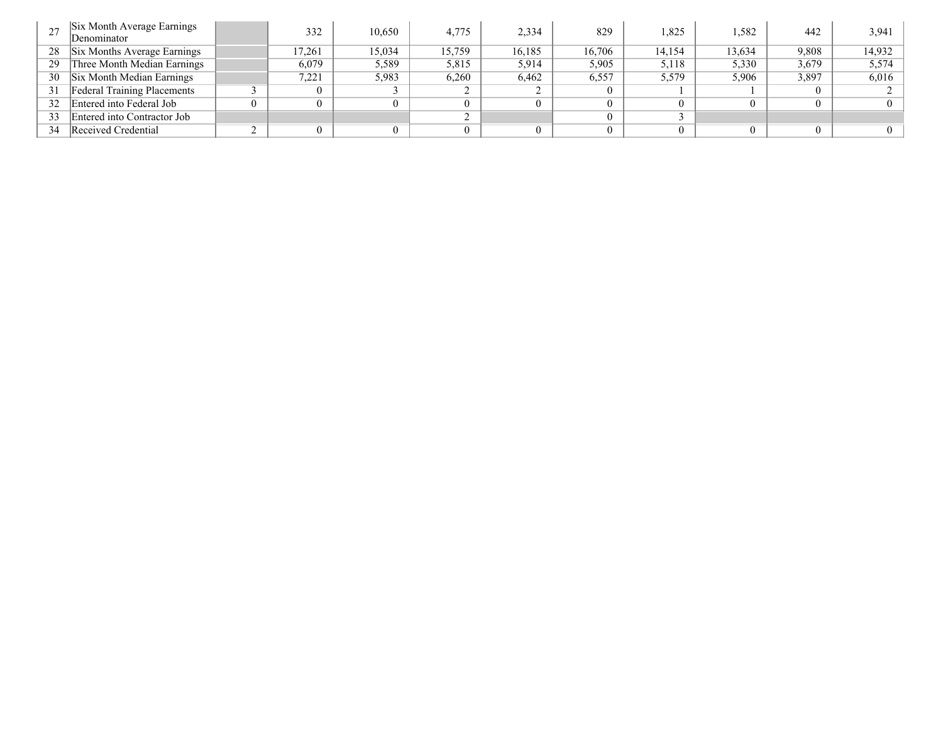|    | Six Month Average Earnings<br>Denominator | 332      | 10,650 | 4,775  | 2,334  | 829    | 1,825  | 1,582  | 442   | 3,941  |
|----|-------------------------------------------|----------|--------|--------|--------|--------|--------|--------|-------|--------|
| 28 | Six Months Average Earnings               | 17.261   | 15,034 | 15,759 | 16,185 | 16,706 | 14,154 | 13,634 | 9,808 | 14,932 |
| 29 | Three Month Median Earnings               | 6,079    | 5.589  | 5,815  | 5,914  | 5,905  | 5,118  | 5,330  | 3,679 | 5,574  |
| 30 | Six Month Median Earnings                 | 7,221    | 5,983  | 6,260  | 6,462  | 6,557  | 5,579  | 5,906  | 3,897 | 6,016  |
| 31 | <b>Federal Training Placements</b>        | $\theta$ |        |        |        |        |        |        |       |        |
| 32 | Entered into Federal Job                  | $\Omega$ |        |        |        |        |        |        |       |        |
| 33 | Entered into Contractor Job               |          |        |        |        |        |        |        |       |        |
| 34 | Received Credential                       | $\Omega$ |        |        |        |        |        |        |       |        |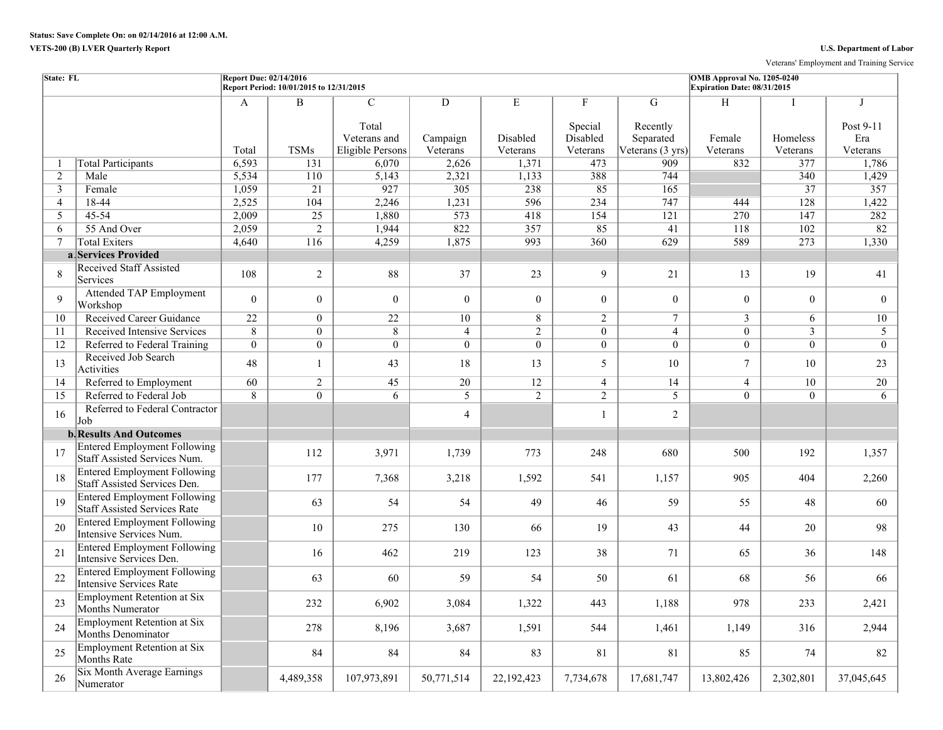Veterans' Employment and Training Service

| State: FL      |                                                                            | <b>Report Due: 02/14/2016</b> | Report Period: 10/01/2015 to 12/31/2015 |                                                  |                      |                      |                                 |                                           | OMB Approval No. 1205-0240<br>Expiration Date: 08/31/2015 |                      |                              |
|----------------|----------------------------------------------------------------------------|-------------------------------|-----------------------------------------|--------------------------------------------------|----------------------|----------------------|---------------------------------|-------------------------------------------|-----------------------------------------------------------|----------------------|------------------------------|
|                |                                                                            | A                             | $\overline{B}$                          | $\overline{C}$                                   | D                    | E                    | F                               | G                                         | H                                                         |                      | I                            |
|                |                                                                            | Total                         | <b>TSMs</b>                             | Total<br>Veterans and<br><b>Eligible Persons</b> | Campaign<br>Veterans | Disabled<br>Veterans | Special<br>Disabled<br>Veterans | Recently<br>Separated<br>Veterans (3 yrs) | Female<br>Veterans                                        | Homeless<br>Veterans | Post 9-11<br>Era<br>Veterans |
| -1             | <b>Total Participants</b>                                                  | 6,593                         | 131                                     | 6,070                                            | 2,626                | 1,371                | 473                             | 909                                       | 832                                                       | 377                  | 1,786                        |
| 2              | Male                                                                       | 5,534                         | 110                                     | 5,143                                            | 2,321                | 1,133                | 388                             | 744                                       |                                                           | 340                  | 1,429                        |
| 3              | Female                                                                     | 1,059                         | 21                                      | 927                                              | 305                  | 238                  | 85                              | 165                                       |                                                           | 37                   | 357                          |
| $\overline{4}$ | 18-44                                                                      | 2,525                         | 104                                     | 2,246                                            | 1,231                | 596                  | 234                             | 747                                       | 444                                                       | 128                  | 1,422                        |
| 5              | 45-54                                                                      | 2,009                         | 25                                      | 1,880                                            | 573                  | 418                  | 154                             | 121                                       | 270                                                       | 147                  | 282                          |
| 6              | 55 And Over                                                                | 2,059                         | $\overline{2}$                          | 1,944                                            | 822                  | 357                  | 85                              | 41                                        | 118                                                       | 102                  | 82                           |
| 7              | <b>Total Exiters</b>                                                       | 4,640                         | 116                                     | 4,259                                            | 1,875                | 993                  | 360                             | 629                                       | 589                                                       | 273                  | 1,330                        |
|                | a Services Provided                                                        |                               |                                         |                                                  |                      |                      |                                 |                                           |                                                           |                      |                              |
| 8              | <b>Received Staff Assisted</b><br>Services                                 | 108                           | $\overline{2}$                          | 88                                               | 37                   | 23                   | 9                               | 21                                        | 13                                                        | 19                   | 41                           |
| 9              | <b>Attended TAP Employment</b><br>Workshop                                 | $\overline{0}$                | $\overline{0}$                          | $\theta$                                         | $\theta$             | $\theta$             | $\theta$                        | $\overline{0}$                            | $\theta$                                                  | $\theta$             | $\overline{0}$               |
| 10             | Received Career Guidance                                                   | 22                            | $\overline{0}$                          | $\overline{22}$                                  | 10                   | 8                    | $\overline{2}$                  | $\overline{7}$                            | $\overline{3}$                                            | 6                    | 10                           |
| 11             | <b>Received Intensive Services</b>                                         | $\overline{8}$                | $\overline{0}$                          | $\overline{8}$                                   | $\overline{4}$       | $\overline{2}$       | $\overline{0}$                  | $\overline{4}$                            | $\overline{0}$                                            | $\overline{3}$       | $\overline{5}$               |
| 12             | Referred to Federal Training                                               | $\overline{0}$                | $\overline{0}$                          | $\overline{0}$                                   | $\Omega$             | $\theta$             | $\theta$                        | $\overline{0}$                            | $\theta$                                                  | $\overline{0}$       | $\theta$                     |
| 13             | Received Job Search<br>Activities                                          | 48                            | $\mathbf{1}$                            | 43                                               | 18                   | 13                   | 5                               | 10                                        | $\tau$                                                    | 10                   | 23                           |
| 14             | Referred to Employment                                                     | 60                            | $\overline{2}$                          | 45                                               | $\overline{20}$      | 12                   | $\overline{4}$                  | 14                                        | $\overline{4}$                                            | 10                   | 20                           |
| 15             | Referred to Federal Job                                                    | $\overline{8}$                | $\overline{0}$                          | $\overline{6}$                                   | $\overline{5}$       | $\overline{2}$       | $\overline{2}$                  | $\overline{5}$                            | $\overline{0}$                                            | $\overline{0}$       | 6                            |
| 16             | Referred to Federal Contractor<br>Job                                      |                               |                                         |                                                  | $\overline{4}$       |                      | $\mathbf{1}$                    | $\overline{2}$                            |                                                           |                      |                              |
|                | <b>b.</b> Results And Outcomes                                             |                               |                                         |                                                  |                      |                      |                                 |                                           |                                                           |                      |                              |
| 17             | <b>Entered Employment Following</b><br>Staff Assisted Services Num.        |                               | 112                                     | 3,971                                            | 1,739                | 773                  | 248                             | 680                                       | 500                                                       | 192                  | 1,357                        |
| 18             | <b>Entered Employment Following</b><br>Staff Assisted Services Den.        |                               | 177                                     | 7,368                                            | 3,218                | 1,592                | 541                             | 1,157                                     | 905                                                       | 404                  | 2,260                        |
| 19             | <b>Entered Employment Following</b><br><b>Staff Assisted Services Rate</b> |                               | 63                                      | 54                                               | 54                   | 49                   | 46                              | 59                                        | 55                                                        | 48                   | 60                           |
| 20             | <b>Entered Employment Following</b><br>Intensive Services Num.             |                               | 10                                      | 275                                              | 130                  | 66                   | 19                              | 43                                        | 44                                                        | 20                   | 98                           |
| 21             | <b>Entered Employment Following</b><br>Intensive Services Den.             |                               | 16                                      | 462                                              | 219                  | 123                  | 38                              | 71                                        | 65                                                        | 36                   | 148                          |
| 22             | <b>Entered Employment Following</b><br><b>Intensive Services Rate</b>      |                               | 63                                      | 60                                               | 59                   | 54                   | 50                              | 61                                        | 68                                                        | 56                   | 66                           |
| 23             | <b>Employment Retention at Six</b><br>Months Numerator                     |                               | 232                                     | 6,902                                            | 3,084                | 1,322                | 443                             | 1,188                                     | 978                                                       | 233                  | 2,421                        |
| 24             | Employment Retention at Six<br>Months Denominator                          |                               | 278                                     | 8,196                                            | 3,687                | 1,591                | 544                             | 1,461                                     | 1,149                                                     | 316                  | 2,944                        |
| 25             | Employment Retention at Six<br><b>Months Rate</b>                          |                               | 84                                      | 84                                               | 84                   | 83                   | 81                              | 81                                        | 85                                                        | 74                   | 82                           |
| 26             | Six Month Average Earnings<br>Numerator                                    |                               | 4,489,358                               | 107,973,891                                      | 50,771,514           | 22,192,423           | 7,734,678                       | 17,681,747                                | 13,802,426                                                | 2,302,801            | 37,045,645                   |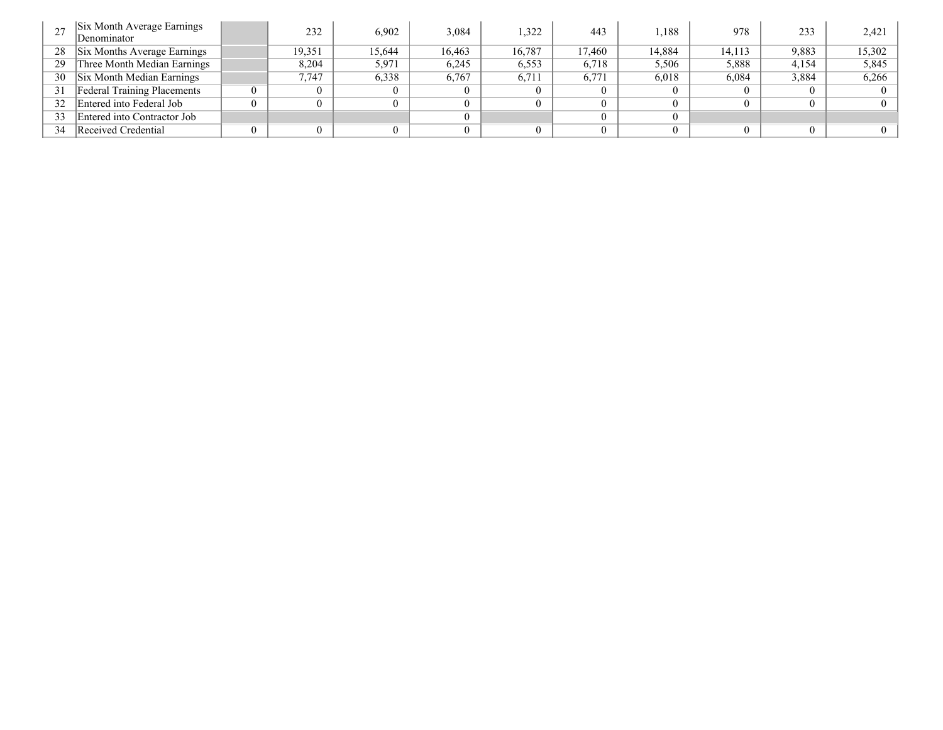|    | Six Month Average Earnings<br>Denominator | 232    | 6,902  | 3,084  | 1,322  | 443    | .188   | 978    | 233   | 2,421    |
|----|-------------------------------------------|--------|--------|--------|--------|--------|--------|--------|-------|----------|
| 28 | Six Months Average Earnings               | 19,351 | 15.644 | 16.463 | 16,787 | 17.460 | 14,884 | 14.113 | 9,883 | 15,302   |
| 29 | Three Month Median Earnings               | 8,204  | 5,971  | 6,245  | 6,553  | 6,718  | 5,506  | 5,888  | 4.154 | 5,845    |
| 30 | Six Month Median Earnings                 | 7.747  | 6,338  | 6,767  | 6,711  | 6,771  | 6,018  | 6,084  | 3,884 | 6,266    |
| 31 | <b>Federal Training Placements</b>        | 0      |        |        |        |        |        |        |       | $\Omega$ |
| 32 | Entered into Federal Job                  | 0      |        |        |        |        |        |        |       | $\theta$ |
| 33 | Entered into Contractor Job               |        |        |        |        |        |        |        |       |          |
| 34 | Received Credential                       | 0      |        |        |        |        |        |        |       | $\Omega$ |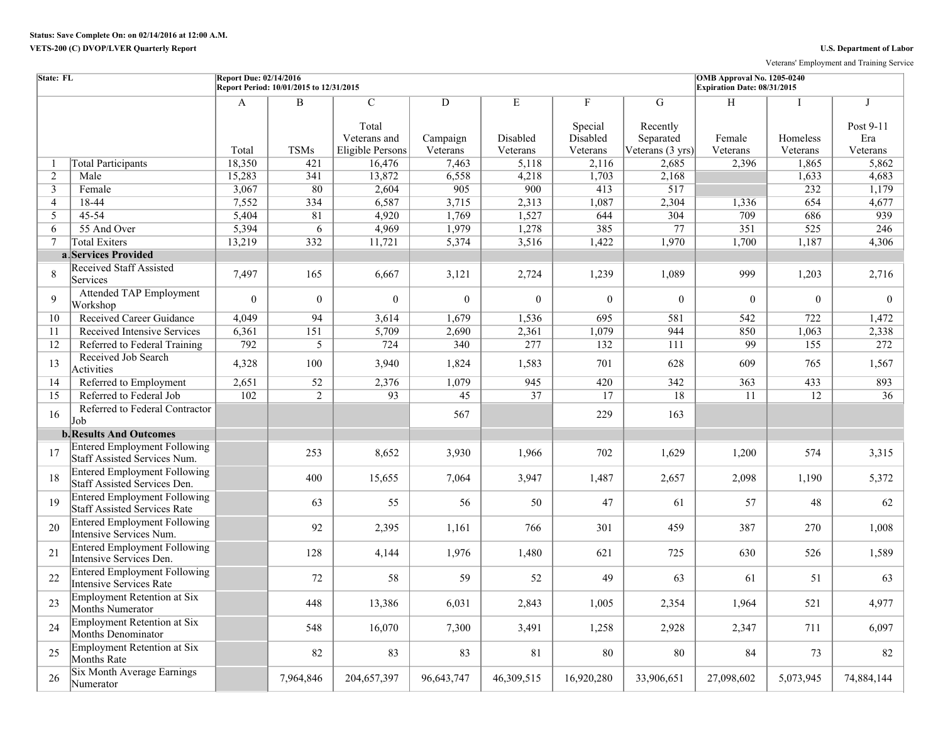Veterans' Employment and Training Service

| State: FL      |                                                                            | <b>Report Due: 02/14/2016</b> | Report Period: 10/01/2015 to 12/31/2015 |                                                             |                                        |                           |                                      |                                                | OMB Approval No. 1205-0240<br>Expiration Date: 08/31/2015 |                           |                                             |
|----------------|----------------------------------------------------------------------------|-------------------------------|-----------------------------------------|-------------------------------------------------------------|----------------------------------------|---------------------------|--------------------------------------|------------------------------------------------|-----------------------------------------------------------|---------------------------|---------------------------------------------|
|                |                                                                            | A<br>Total                    | $\, {\bf B}$<br><b>TSMs</b>             | $\overline{C}$<br>Total<br>Veterans and<br>Eligible Persons | $\overline{D}$<br>Campaign<br>Veterans | E<br>Disabled<br>Veterans | F<br>Special<br>Disabled<br>Veterans | G<br>Recently<br>Separated<br>Veterans (3 yrs) | H<br>Female<br>Veterans                                   | Ι<br>Homeless<br>Veterans | $\mathbf I$<br>Post 9-11<br>Era<br>Veterans |
| -1             | <b>Total Participants</b>                                                  | 18,350                        | 421                                     | 16,476                                                      | 7,463                                  | 5,118                     | 2,116                                | 2,685                                          | 2,396                                                     | 1,865                     | 5,862                                       |
| $\overline{2}$ | Male                                                                       | 15,283                        | 341                                     | 13,872                                                      | 6,558                                  | 4,218                     | 1,703                                | 2,168                                          |                                                           | 1,633                     | 4,683                                       |
| $\mathfrak{Z}$ | Female                                                                     | 3,067                         | 80                                      | 2,604                                                       | 905                                    | 900                       | 413                                  | 517                                            |                                                           | 232                       | 1,179                                       |
| $\overline{4}$ | 18-44                                                                      | 7,552                         | 334                                     | 6,587                                                       | 3,715                                  | 2,313                     | 1,087                                | 2,304                                          | 1,336                                                     | 654                       | 4,677                                       |
| 5              | 45-54                                                                      | 5,404                         | 81                                      | 4,920                                                       | 1,769                                  | 1,527                     | 644                                  | 304                                            | 709                                                       | 686                       | 939                                         |
| 6              | 55 And Over                                                                | 5,394                         | 6                                       | 4,969                                                       | 1,979                                  | 1,278                     | 385                                  | 77                                             | 351                                                       | 525                       | 246                                         |
| 7              | <b>Total Exiters</b>                                                       | 13,219                        | 332                                     | 11,721                                                      | 5,374                                  | 3,516                     | 1,422                                | 1,970                                          | 1,700                                                     | 1,187                     | 4,306                                       |
|                | a Services Provided                                                        |                               |                                         |                                                             |                                        |                           |                                      |                                                |                                                           |                           |                                             |
| 8              | <b>Received Staff Assisted</b><br>Services                                 | 7,497                         | 165                                     | 6,667                                                       | 3,121                                  | 2,724                     | 1,239                                | 1,089                                          | 999                                                       | 1,203                     | 2,716                                       |
| $\mathbf{Q}$   | <b>Attended TAP Employment</b><br>Workshop                                 | $\Omega$                      | $\mathbf{0}$                            | $\Omega$                                                    | $\theta$                               | $\theta$                  | $\theta$                             | $\theta$                                       | $\theta$                                                  | $\theta$                  | $\theta$                                    |
| 10             | Received Career Guidance                                                   | 4,049                         | $\overline{94}$                         | 3,614                                                       | 1,679                                  | 1,536                     | 695                                  | 581                                            | 542                                                       | 722                       | 1,472                                       |
| 11             | Received Intensive Services                                                | 6,361                         | 151                                     | 5,709                                                       | 2,690                                  | 2,361                     | 1,079                                | 944                                            | 850                                                       | 1,063                     | 2,338                                       |
| 12             | Referred to Federal Training                                               | 792                           | 5                                       | 724                                                         | 340                                    | 277                       | 132                                  | 111                                            | 99                                                        | 155                       | 272                                         |
| 13             | Received Job Search<br>Activities                                          | 4,328                         | 100                                     | 3,940                                                       | 1,824                                  | 1,583                     | 701                                  | 628                                            | 609                                                       | 765                       | 1,567                                       |
| 14             | Referred to Employment                                                     | 2,651                         | 52                                      | 2,376                                                       | 1,079                                  | 945                       | 420                                  | 342                                            | 363                                                       | 433                       | 893                                         |
| 15             | Referred to Federal Job                                                    | 102                           | $\overline{2}$                          | 93                                                          | $\overline{45}$                        | $\overline{37}$           | 17                                   | 18                                             | 11                                                        | 12                        | 36                                          |
| 16             | Referred to Federal Contractor<br>Job                                      |                               |                                         |                                                             | 567                                    |                           | 229                                  | 163                                            |                                                           |                           |                                             |
|                | <b>b.</b> Results And Outcomes                                             |                               |                                         |                                                             |                                        |                           |                                      |                                                |                                                           |                           |                                             |
| 17             | <b>Entered Employment Following</b><br><b>Staff Assisted Services Num.</b> |                               | 253                                     | 8,652                                                       | 3,930                                  | 1,966                     | 702                                  | 1,629                                          | 1,200                                                     | 574                       | 3,315                                       |
| 18             | <b>Entered Employment Following</b><br>Staff Assisted Services Den.        |                               | 400                                     | 15,655                                                      | 7,064                                  | 3,947                     | 1,487                                | 2,657                                          | 2,098                                                     | 1,190                     | 5,372                                       |
| 19             | <b>Entered Employment Following</b><br><b>Staff Assisted Services Rate</b> |                               | 63                                      | 55                                                          | 56                                     | 50                        | 47                                   | 61                                             | 57                                                        | 48                        | 62                                          |
| 20             | <b>Entered Employment Following</b><br>Intensive Services Num.             |                               | 92                                      | 2,395                                                       | 1,161                                  | 766                       | 301                                  | 459                                            | 387                                                       | 270                       | 1,008                                       |
| 21             | <b>Entered Employment Following</b><br>Intensive Services Den.             |                               | 128                                     | 4,144                                                       | 1,976                                  | 1,480                     | 621                                  | 725                                            | 630                                                       | 526                       | 1,589                                       |
| 22             | <b>Entered Employment Following</b><br><b>Intensive Services Rate</b>      |                               | 72                                      | 58                                                          | 59                                     | 52                        | 49                                   | 63                                             | 61                                                        | 51                        | 63                                          |
| 23             | <b>Employment Retention at Six</b><br>Months Numerator                     |                               | 448                                     | 13,386                                                      | 6,031                                  | 2,843                     | 1,005                                | 2,354                                          | 1,964                                                     | 521                       | 4,977                                       |
| 24             | <b>Employment Retention at Six</b><br><b>Months Denominator</b>            |                               | 548                                     | 16,070                                                      | 7,300                                  | 3,491                     | 1,258                                | 2,928                                          | 2,347                                                     | 711                       | 6,097                                       |
| 25             | <b>Employment Retention at Six</b><br>Months Rate                          |                               | 82                                      | 83                                                          | 83                                     | 81                        | 80                                   | 80                                             | 84                                                        | 73                        | 82                                          |
| 26             | Six Month Average Earnings<br>Numerator                                    |                               | 7,964,846                               | 204,657,397                                                 | 96,643,747                             | 46,309,515                | 16,920,280                           | 33,906,651                                     | 27,098,602                                                | 5,073,945                 | 74,884,144                                  |